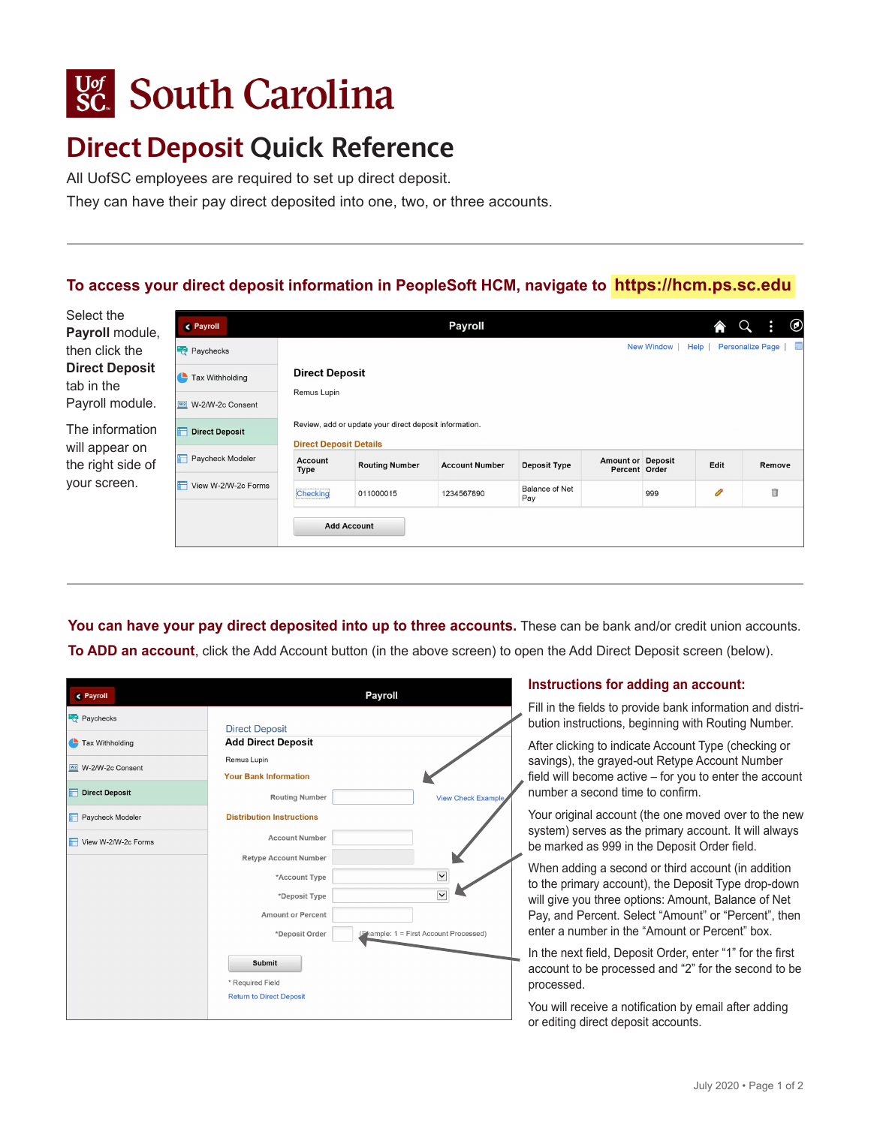# **Sc.** South Carolina

## **Direct Deposit Quick Reference**

All UofSC employees are required to set up direct deposit.

They can have their pay direct deposited into one, two, or three accounts.

### **To access your direct deposit information in PeopleSoft HCM, navigate to <https://hcm.ps.sc.edu>**

| Select the<br>Payroll module,       | < Payroll                          |                                                 |                                                        | <b>Payroll</b>        |                              |                          |                   |      | Ĥ.                      | $^\circledR$ |  |
|-------------------------------------|------------------------------------|-------------------------------------------------|--------------------------------------------------------|-----------------------|------------------------------|--------------------------|-------------------|------|-------------------------|--------------|--|
| then click the                      | Paychecks                          |                                                 |                                                        |                       |                              |                          | <b>New Window</b> | Help | <b>Personalize Page</b> | 霜            |  |
| <b>Direct Deposit</b><br>tab in the | Tax Withholding                    | <b>Direct Deposit</b>                           |                                                        |                       |                              |                          |                   |      |                         |              |  |
| Payroll module.                     | W <sub>2</sub><br>W-2/W-2c Consent | Remus Lupin                                     |                                                        |                       |                              |                          |                   |      |                         |              |  |
| The information                     | <b>Direct Deposit</b>              |                                                 | Review, add or update your direct deposit information. |                       |                              |                          |                   |      |                         |              |  |
| will appear on                      | Paycheck Modeler                   | <b>Direct Deposit Details</b><br><b>Account</b> | <b>Routing Number</b>                                  | <b>Account Number</b> | Deposit Type                 | <b>Amount or Deposit</b> |                   | Edit | Remove                  |              |  |
| the right side of                   |                                    | Type                                            |                                                        |                       |                              | Percent Order            |                   |      |                         |              |  |
| your screen.                        | View W-2/W-2c Forms                | Checking                                        | 011000015                                              | 1234567890            | <b>Balance of Net</b><br>Pay |                          | 999               | O    | î                       |              |  |
|                                     |                                    | <b>Add Account</b>                              |                                                        |                       |                              |                          |                   |      |                         |              |  |

You can have your pay direct deposited into up to three accounts. These can be bank and/or credit union accounts. **To ADD an account**, click the Add Account button (in the above screen) to open the Add Direct Deposit screen (below).

| <b>Payroll</b>             | Payroll                                                  |  |  |  |  |  |
|----------------------------|----------------------------------------------------------|--|--|--|--|--|
| Paychecks                  |                                                          |  |  |  |  |  |
| Tax Withholding            | <b>Direct Deposit</b><br><b>Add Direct Deposit</b>       |  |  |  |  |  |
| W2 W-2/W-2c Consent        | Remus Lupin                                              |  |  |  |  |  |
|                            | <b>Your Bank Information</b>                             |  |  |  |  |  |
| <b>Direct Deposit</b><br>F | <b>Routing Number</b><br><b>View Check Example</b>       |  |  |  |  |  |
| Paycheck Modeler<br>F      | <b>Distribution Instructions</b>                         |  |  |  |  |  |
| View W-2/W-2c Forms        | <b>Account Number</b>                                    |  |  |  |  |  |
|                            | <b>Retype Account Number</b>                             |  |  |  |  |  |
|                            | $\checkmark$<br>*Account Type                            |  |  |  |  |  |
|                            | $\checkmark$<br>*Deposit Type                            |  |  |  |  |  |
|                            | <b>Amount or Percent</b>                                 |  |  |  |  |  |
|                            | *Deposit Order<br>(Fkample: 1 = First Account Processed) |  |  |  |  |  |
|                            | <b>Submit</b>                                            |  |  |  |  |  |
|                            |                                                          |  |  |  |  |  |
|                            | * Required Field                                         |  |  |  |  |  |
|                            | <b>Return to Direct Deposit</b>                          |  |  |  |  |  |

#### **Instructions for adding an account:**

Fill in the fields to provide bank information and distribution instructions, beginning with Routing Number.

After clicking to indicate Account Type (checking or savings), the grayed-out Retype Account Number field will become active – for you to enter the account number a second time to confirm.

Your original account (the one moved over to the new system) serves as the primary account. It will always be marked as 999 in the Deposit Order field.

When adding a second or third account (in addition to the primary account), the Deposit Type drop-down will give you three options: Amount, Balance of Net Pay, and Percent. Select "Amount" or "Percent", then enter a number in the "Amount or Percent" box.

In the next field, Deposit Order, enter "1" for the first account to be processed and "2" for the second to be processed.

You will receive a notification by email after adding or editing direct deposit accounts.